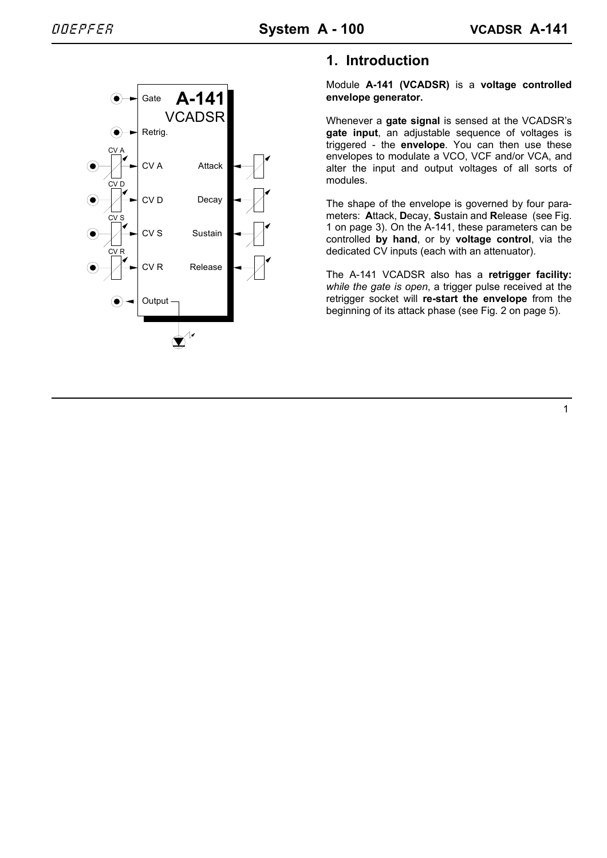

# **1. Introduction**

Module **A-141 (VCADSR)** is a **voltage controlled envelope generator.**

Whenever a **gate signal** is sensed at the VCADSR's **gate input**, an adjustable sequence of voltages is triggered - the **envelope**. You can then use these envelopes to modulate a VCO, VCF and/or VCA, and alter the input and output voltages of all sorts of modules.

The shape of the envelope is governed by four parameters: **A**ttack, **D**ecay, **S**ustain and **R**elease (see Fig. 1 on page 3). On the A-141, these parameters can be controlled **by hand**, or by **voltage control**, via the dedicated CV inputs (each with an attenuator).

The A-141 VCADSR also has a **retrigger facility:** *while the gate is open*, a trigger pulse received at the retrigger socket will **re-start the envelope** from the beginning of its attack phase (see Fig. 2 on page 5).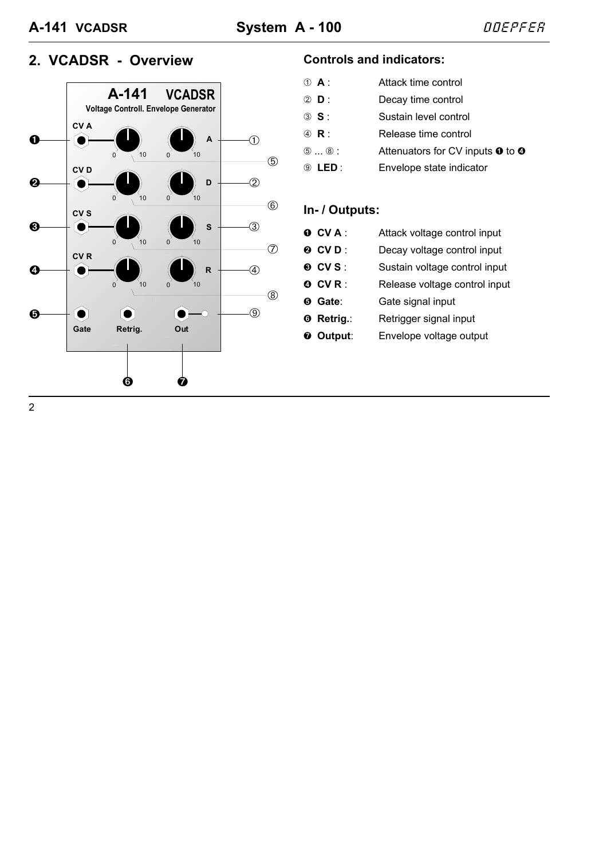# **2. VCADSR - Overview Controls and indicators:**



| $\circled{A}$ :               | Attack time control                                                      |
|-------------------------------|--------------------------------------------------------------------------|
| $(2)$ D :                     | Decay time control                                                       |
| ③ S:                          | Sustain level control                                                    |
| 4 R :                         | Release time control                                                     |
| $\circled{5}$ $\circled{8}$ : | Attenuators for CV inputs $\boldsymbol{\Theta}$ to $\boldsymbol{\Theta}$ |
| LED :<br>(9)                  | Envelope state indicator                                                 |

#### **In- / Outputs:**

| OCVA:             | Attack voltage control input  |
|-------------------|-------------------------------|
| $Q$ CVD:          | Decay voltage control input   |
| $\odot$ CVS:      | Sustain voltage control input |
| $O$ CVR:          | Release voltage control input |
| <b>O</b> Gate:    | Gate signal input             |
| <b>O</b> Retrig.: | Retrigger signal input        |
| <b>O</b> Output:  | Envelope voltage output       |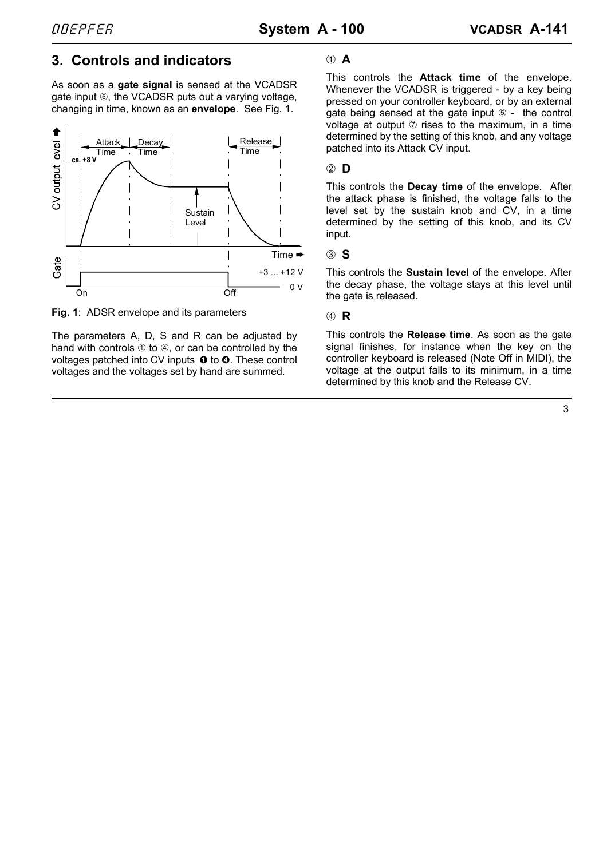# **3. Controls and indicators**

As soon as a **gate signal** is sensed at the VCADSR gate input 5, the VCADSR puts out a varving voltage. changing in time, known as an **envelope**. See Fig. 1.



**Fig. 1**: ADSR envelope and its parameters

The parameters A, D, S and R can be adjusted by hand with controls  $\odot$  to  $4$ , or can be controlled by the voltages patched into CV inputs  $\bullet$  to  $\bullet$ . These control voltages and the voltages set by hand are summed.

### 1 **A**

This controls the **Attack time** of the envelope. Whenever the VCADSR is triggered - by a key being pressed on your controller keyboard, or by an external gate being sensed at the gate input  $\circ$  - the control voltage at output  $\oslash$  rises to the maximum, in a time determined by the setting of this knob, and any voltage patched into its Attack CV input.

#### 2 **D**

This controls the **Decay time** of the envelope. After the attack phase is finished, the voltage falls to the level set by the sustain knob and CV, in a time determined by the setting of this knob, and its CV input.

#### 3 **S**

This controls the **Sustain level** of the envelope. After the decay phase, the voltage stays at this level until the gate is released.

#### 4 **R**

This controls the **Release time**. As soon as the gate signal finishes, for instance when the key on the controller keyboard is released (Note Off in MIDI), the voltage at the output falls to its minimum, in a time determined by this knob and the Release CV.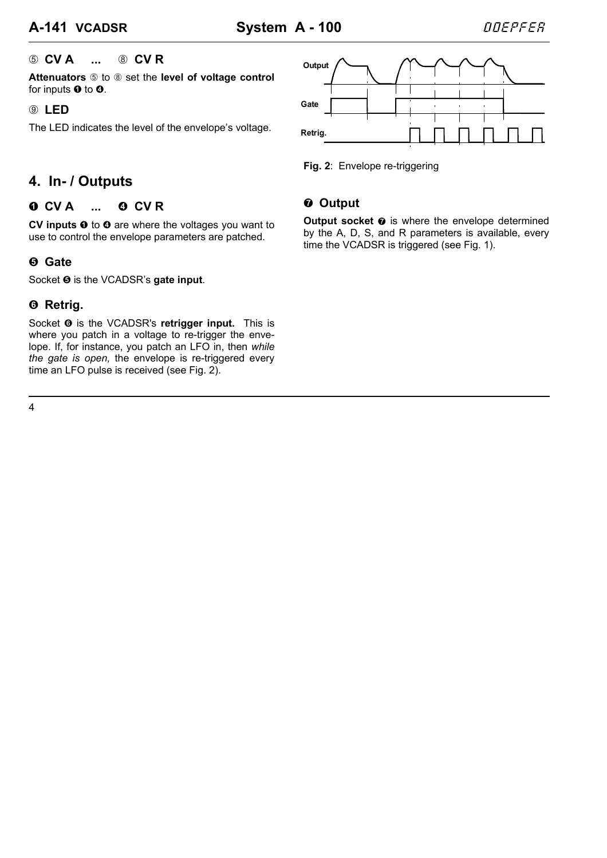#### 5 **CV A ...** 8 **CV R**

**Attenuators** 5 to 8 set the **level of voltage control** for inputs  $\mathbf 0$  to  $\mathbf 0$ .

#### 9 **LED**

The LED indicates the level of the envelope's voltage.



**Fig. 2**: Envelope re-triggering

# **4. In- / Outputs**

### ! **CV A ...** \$ **CV R**

**CV inputs**  $\bullet$  **to**  $\bullet$  **are where the voltages you want to** use to control the envelope parameters are patched.

## % **Gate**

Socket  $\Theta$  is the VCADSR's gate input.

## & **Retrig.**

Socket  $\odot$  is the VCADSR's **retrigger input.** This is where you patch in a voltage to re-trigger the envelope. If, for instance, you patch an LFO in, then *while the gate is open,* the envelope is re-triggered every time an LFO pulse is received (see Fig. 2).

# / **Output**

**Output socket**  $\odot$  is where the envelope determined by the A, D, S, and R parameters is available, every time the VCADSR is triggered (see Fig. 1).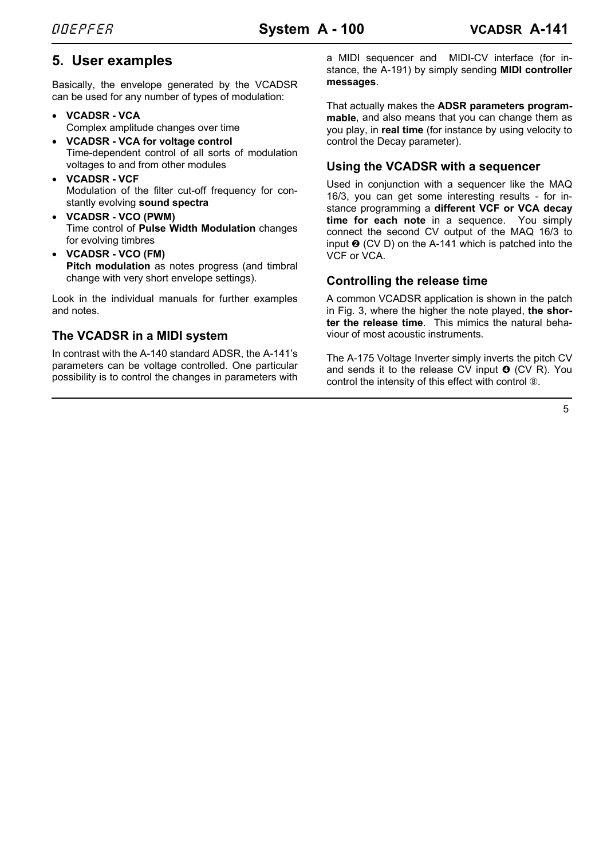# **5. User examples**

Basically, the envelope generated by the VCADSR can be used for any number of types of modulation:

- **VCADSR VCA** Complex amplitude changes over time
- **VCADSR VCA for voltage control** Time-dependent control of all sorts of modulation voltages to and from other modules
- **VCADSR VCF** Modulation of the filter cut-off frequency for constantly evolving **sound spectra**
- **VCADSR VCO (PWM)**

Time control of **Pulse Width Modulation** changes for evolving timbres

• **VCADSR - VCO (FM)**

**Pitch modulation** as notes progress (and timbral change with very short envelope settings).

Look in the individual manuals for further examples and notes.

## **The VCADSR in a MIDI system**

In contrast with the A-140 standard ADSR, the A-141's parameters can be voltage controlled. One particular possibility is to control the changes in parameters with a MIDI sequencer and MIDI-CV interface (for instance, the A-191) by simply sending **MIDI controller messages**.

That actually makes the **ADSR parameters programmable**, and also means that you can change them as you play, in **real time** (for instance by using velocity to control the Decay parameter).

#### **Using the VCADSR with a sequencer**

Used in conjunction with a sequencer like the MAQ 16/3, you can get some interesting results - for instance programming a **different VCF or VCA decay time for each note** in a sequence. You simply connect the second CV output of the MAQ 16/3 to input  $\odot$  (CV D) on the A-141 which is patched into the VCF or VCA.

#### **Controlling the release time**

A common VCADSR application is shown in the patch in Fig. 3, where the higher the note played, **the shorter the release time**. This mimics the natural behaviour of most acoustic instruments.

The A-175 Voltage Inverter simply inverts the pitch CV and sends it to the release CV input  $\bullet$  (CV R). You control the intensity of this effect with control  $\circledast$ .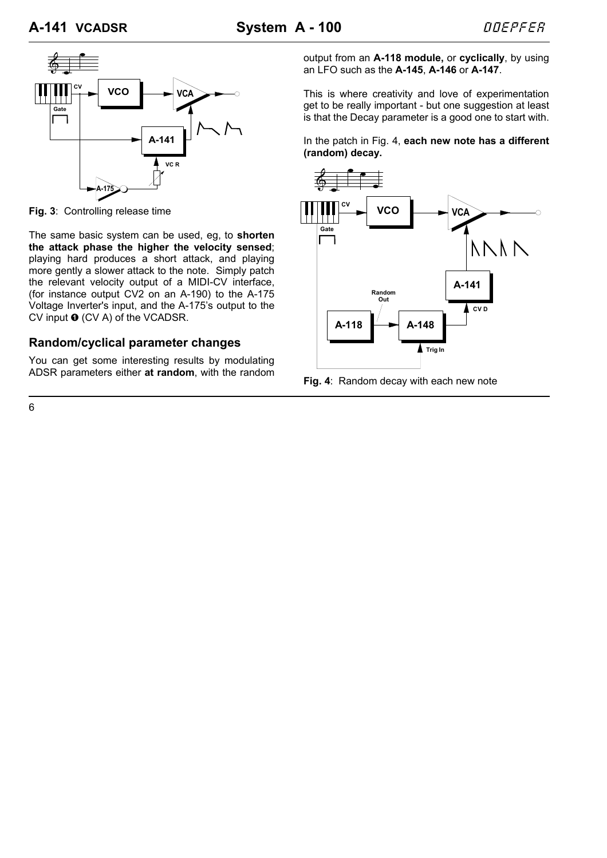

**Fig. 3**: Controlling release time

The same basic system can be used, eg, to **shorten the attack phase the higher the velocity sensed**; playing hard produces a short attack, and playing more gently a slower attack to the note. Simply patch the relevant velocity output of a MIDI-CV interface, (for instance output CV2 on an A-190) to the A-175 Voltage Inverter's input, and the A-175's output to the  $CV$  input  $①$  (CV A) of the VCADSR.

#### **Random/cyclical parameter changes**

You can get some interesting results by modulating ADSR parameters either **at random**, with the random output from an **A-118 module,** or **cyclically**, by using an LFO such as the **A-145**, **A-146** or **A-147**.

This is where creativity and love of experimentation get to be really important - but one suggestion at least is that the Decay parameter is a good one to start with.

In the patch in Fig. 4, **each new note has a different (random) decay.**



**Fig. 4**: Random decay with each new note